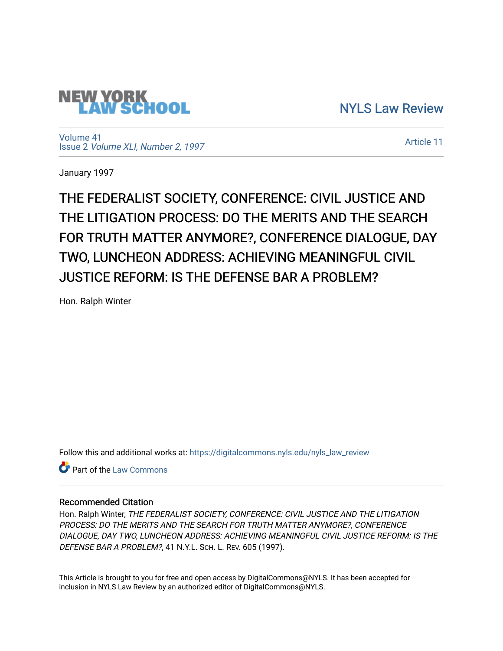

[NYLS Law Review](https://digitalcommons.nyls.edu/nyls_law_review) 

[Volume 41](https://digitalcommons.nyls.edu/nyls_law_review/vol41) Issue 2 [Volume XLI, Number 2, 1997](https://digitalcommons.nyls.edu/nyls_law_review/vol41/iss2)

[Article 11](https://digitalcommons.nyls.edu/nyls_law_review/vol41/iss2/11) 

January 1997

THE FEDERALIST SOCIETY, CONFERENCE: CIVIL JUSTICE AND THE LITIGATION PROCESS: DO THE MERITS AND THE SEARCH FOR TRUTH MATTER ANYMORE?, CONFERENCE DIALOGUE, DAY TWO, LUNCHEON ADDRESS: ACHIEVING MEANINGFUL CIVIL JUSTICE REFORM: IS THE DEFENSE BAR A PROBLEM?

Hon. Ralph Winter

Follow this and additional works at: [https://digitalcommons.nyls.edu/nyls\\_law\\_review](https://digitalcommons.nyls.edu/nyls_law_review?utm_source=digitalcommons.nyls.edu%2Fnyls_law_review%2Fvol41%2Fiss2%2F11&utm_medium=PDF&utm_campaign=PDFCoverPages) 

**C** Part of the [Law Commons](https://network.bepress.com/hgg/discipline/578?utm_source=digitalcommons.nyls.edu%2Fnyls_law_review%2Fvol41%2Fiss2%2F11&utm_medium=PDF&utm_campaign=PDFCoverPages)

## Recommended Citation

Hon. Ralph Winter, THE FEDERALIST SOCIETY, CONFERENCE: CIVIL JUSTICE AND THE LITIGATION PROCESS: DO THE MERITS AND THE SEARCH FOR TRUTH MATTER ANYMORE?, CONFERENCE DIALOGUE, DAY TWO, LUNCHEON ADDRESS: ACHIEVING MEANINGFUL CIVIL JUSTICE REFORM: IS THE DEFENSE BAR A PROBLEM?, 41 N.Y.L. SCH. L. REV. 605 (1997).

This Article is brought to you for free and open access by DigitalCommons@NYLS. It has been accepted for inclusion in NYLS Law Review by an authorized editor of DigitalCommons@NYLS.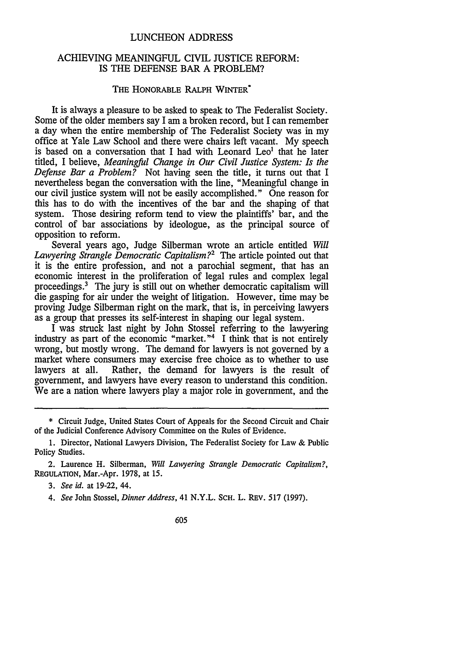## LUNCHEON ADDRESS

## ACHIEVING MEANINGFUL CIVIL JUSTICE REFORM: IS THE DEFENSE BAR A PROBLEM?

## THE HONORABLE RALPH WINTER\*

It is always a pleasure to be asked to speak to The Federalist Society. Some of the older members say I am a broken record, but I can remember a day when the entire membership of The Federalist Society was in my office at Yale Law School and there were chairs left vacant. My speech is based on a conversation that I had with Leonard Leo<sup>1</sup> that he later titled, I believe, *Meaningful Change in Our Civil Justice System: Is the Defense Bar a Problem?* Not having seen the title, it turns out that I nevertheless began the conversation with the line, "Meaningful change in our civil justice system will not be easily accomplished." One reason for this has to do with the incentives of the bar and the shaping of that system. Those desiring reform tend to view the plaintiffs' bar, and the control of bar associations by ideologue, as the principal source of opposition to reform.

Several years ago, Judge Silberman wrote an article entitled *Will Lawyering Strangle Democratic Capitalism?2* The article pointed out that it is the entire profession, and not a parochial segment, that has an economic interest in the proliferation of legal rules and complex legal proceedings.' The jury is still out on whether democratic capitalism will die gasping for air under the weight of litigation. However, time may be proving Judge Silberman right on the mark, that is, in perceiving lawyers as a group that presses its self-interest in shaping our legal system.

I was struck last night by John Stossel referring to the lawyering industry as part of the economic "market."<sup>4</sup> I think that is not entirely wrong, but mostly wrong. The demand for lawyers is not governed by a market where consumers may exercise free choice as to whether to use lawyers at all. Rather, the demand for lawyers is the result of government, and lawyers have every reason to understand this condition. We are a nation where lawyers play a major role in government, and the

*3. See id.* at 19-22, 44.

*4. See* John Stossel, *Dinner Address,* 41 N.Y.L. **SCH.** L. REV. 517 (1997).

605

<sup>\*</sup> Circuit Judge, United States Court of Appeals for the Second Circuit and Chair of the Judicial Conference Advisory Committee on the Rules of Evidence.

<sup>1.</sup> Director, National Lawyers Division, The Federalist Society for Law & Public Policy Studies.

<sup>2.</sup> Laurence H. Silberman, *Will Lawyering Strangle Democratic Capitalism?,* **REGULATION,** Mar.-Apr. 1978, at 15.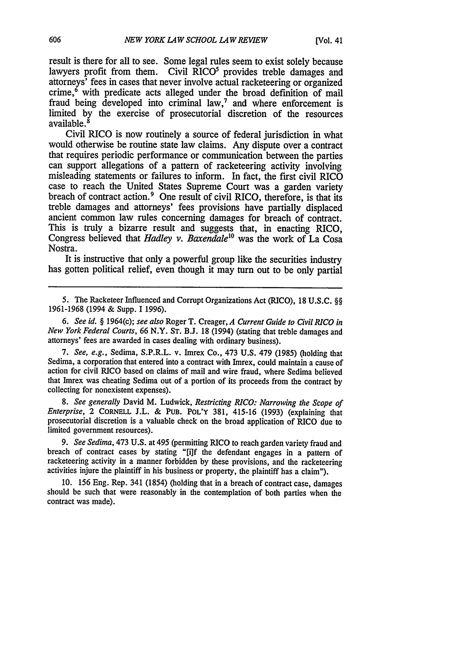result is there for all to see. Some legal rules seem to exist solely because lawyers profit from them. Civil RICO<sup>5</sup> provides treble damages and attorneys' fees in cases that never involve actual racketeering or organized crime, $6$  with predicate acts alleged under the broad definition of mail fraud being developed into criminal law,<sup>7</sup> and where enforcement is limited by the exercise of prosecutorial discretion of the resources available. <sup>8</sup>

Civil RICO is now routinely a source of federal jurisdiction in what would otherwise be routine state law claims. Any dispute over a contract that requires periodic performance or communication between the parties can support allegations of a pattern of racketeering activity involving misleading statements or failures to inform. In fact, the first civil RICO case to reach the United States Supreme Court was a garden variety breach of contract action.<sup>9</sup> One result of civil RICO, therefore, is that its treble damages and attorneys' fees provisions have partially displaced ancient common law rules concerning damages for breach of contract. This is truly a bizarre result and suggests that, in enacting RICO, Congress believed that *Hadley v. Baxendale<sup>10</sup>* was the work of La Cosa Nostra.

It is instructive that only a powerful group like the securities industry has gotten political relief, even though it may turn out to be only partial

5. The Racketeer Influenced and Corrupt Organizations Act (RICO), 18 U.S.C. §§ 1961-1968 (1994 & Supp. I 1996).

*6. See id.* § 1964(c); see also Roger T. Creager, *A Current Guide to Civil RICO in New York Federal Courts,* 66 N.Y. ST. B.J. 18 (1994) (stating that treble damages and attorneys' fees are awarded in cases dealing with ordinary business).

*7. See, e.g.,* Sedima, S.P.R.L. v. Imrex Co., 473 U.S. 479 (1985) (holding that Sedima, a corporation that entered into a contract with Imrex, could maintain a cause of action for civil RICO based on claims of mail and wire fraud, where Sedima believed that Imrex was cheating Sedima out of a portion of its proceeds from the contract by collecting for nonexistent expenses).

*8. See generally* David M. Ludwick, *Restricting RICO: Narrowing the Scope of Enterprise,* 2 CORNELL J.L. **& PUB.** POL'Y 381, 415-16 (1993) (explaining that prosecutorial discretion is a valuable check on the broad application of RICO due to limited government resources).

*9. See Sedima,* 473 U.S. at 495 (permitting RICO to reach garden variety fraud and breach of contract cases by stating "[i]f the defendant engages in a pattern of racketeering activity in a manner forbidden by these provisions, and the racketeering activities injure the plaintiff in his business or property, the plaintiff has a claim").

10. 156 Eng. Rep. 341 (1854) (holding that in a breach of contract case, damages should be such that were reasonably in the contemplation of both parties when the contract was made).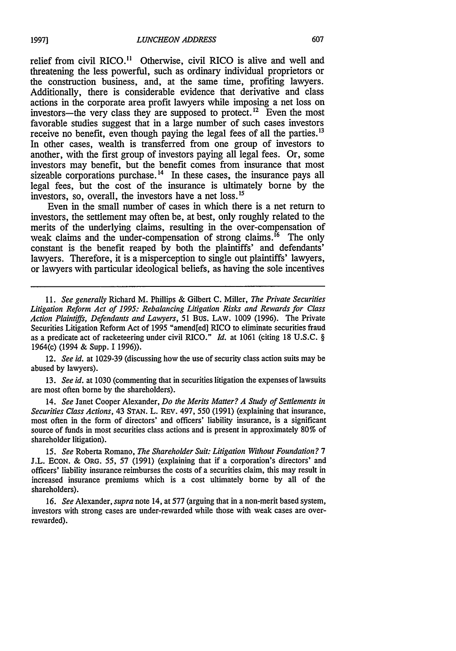relief from civil RICO.<sup>11</sup> Otherwise, civil RICO is alive and well and threatening the less powerful, such as ordinary individual proprietors or the construction business, and, at the same time, profiting lawyers. Additionally, there is considerable evidence that derivative and class actions in the corporate area profit lawyers while imposing a net loss on investors-the very class they are supposed to protect.<sup>12</sup> Even the most favorable studies suggest that in a large number of such cases investors receive no benefit, even though paying the legal fees of all the parties.<sup>13</sup> In other cases, wealth is transferred from one group of investors to another, with the first group of investors paying all legal fees. Or, some investors may benefit, but the benefit comes from insurance that most sizeable corporations purchase. $^{14}$  In these cases, the insurance pays all legal fees, but the cost of the insurance is ultimately borne by the investors, so, overall, the investors have a net loss.15

Even in the small number of cases in which there is a net return to investors, the settlement may often be, at best, only roughly related to the merits of the underlying claims, resulting in the over-compensation of weak claims and the under-compensation of strong claims. <sup> $16$ </sup> The only constant is the benefit reaped by both the plaintiffs' and defendants' lawyers. Therefore, it is a misperception to single out plaintiffs' lawyers, or lawyers with particular ideological beliefs, as having the sole incentives

12. *See id.* at 1029-39 (discussing how the use of security class action suits may be abused by lawyers).

13. *See id.* at 1030 (commenting that in securities litigation the expenses of lawsuits are most often borne by the shareholders).

14. *See* Janet Cooper Alexander, *Do the Merits Matter? A Study of Settlements in Securities Class Actions,* 43 **STAN.** L. REV. 497, 550 (1991) (explaining that insurance, most often in the form of directors' and officers' liability insurance, is a significant source of funds in most securities class actions and is present in approximately 80% of shareholder litigation).

*15. See* Roberta Romano, *The Shareholder Suit: Litigation Without Foundation? 7* **J.L. ECON.** & ORG. 55, 57 (1991) (explaining that if a corporation's directors' and officers' liability insurance reimburses the costs of a securities claim, this may result in increased insurance premiums which is a cost ultimately borne by all of the shareholders).

16. *See* Alexander, *supra* note 14, at 577 (arguing that in a non-merit based system, investors with strong cases are under-rewarded while those with weak cases are overrewarded).

*<sup>11.</sup> See generally* Richard M. Phillips & Gilbert C. Miller, *The Private Securities Litigation Reform Act of 1995: Rebalancing Litigation Risks and Rewards for Class Action Plaintiffs, Defendants and Lawyers, 51* BUs. LAW. 1009 (1996). The Private Securities Litigation Reform Act of 1995 "amend[ed] RICO to eliminate securities fraud as a predicate act of racketeering under civil RICO." *Id.* at 1061 (citing 18 U.S.C. § 1964(c) (1994 & Supp. 1 1996)).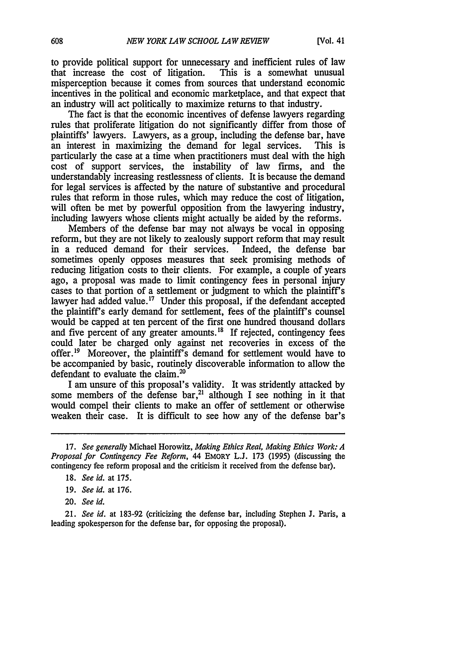to provide political support for unnecessary and inefficient rules of law<br>that increase the cost of litigation. This is a somewhat unusual that increase the cost of litigation. misperception because it comes from sources that understand economic incentives in the political and economic marketplace, and that expect that an industry will act politically to maximize returns to that industry.

The fact is that the economic incentives of defense lawyers regarding rules that proliferate litigation do not significantly differ from those of plaintiffs' lawyers. Lawyers, as a group, including the defense bar, have an interest in maximizing the demand for legal services. This is particularly the case at a time when practitioners must deal with the high cost of support services, the instability of law firms, and the understandably increasing restlessness of clients. It is because the demand for legal services is affected by the nature of substantive and procedural rules that reform in those rules, which may reduce the cost of litigation, will often be met by powerful opposition from the lawyering industry, including lawyers whose clients might actually be aided by the reforms.

Members of the defense bar may not always be vocal in opposing reform, but they are not likely to zealously support reform that may result in a reduced demand for their services. Indeed, the defense bar sometimes openly opposes measures that seek promising methods of reducing litigation costs to their clients. For example, a couple of years ago, a proposal was made to limit contingency fees in personal injury cases to that portion of a settlement or judgment to which the plaintiff's lawyer had added value.<sup>17</sup> Under this proposal, if the defendant accepted the plaintiff's early demand for settlement, fees of the plaintiff's counsel would be capped at ten percent of the first one hundred thousand dollars and five percent of any greater amounts.<sup>18</sup> If rejected, contingency fees could later be charged only against net recoveries in excess of the offer.<sup>19</sup> Moreover, the plaintiff's demand for settlement would have to be accompanied by basic, routinely discoverable information to allow the defendant to evaluate the claim.<sup>20</sup>

I am unsure of this proposal's validity. It was stridently attacked by some members of the defense bar,<sup>21</sup> although I see nothing in it that would compel their clients to make an offer of settlement or otherwise weaken their case. It is difficult to see how any of the defense bar's

20. *See id.*

21. *See id.* at 183-92 (criticizing the defense bar, including Stephen J. Paris, a leading spokesperson for the defense bar, for opposing the proposal).

<sup>17.</sup> *See generally* Michael Horowitz, *Making Ethics Real, Making Ethics Work: A Proposal for Contingency Fee Reform,* 44 EMORY L.J. 173 (1995) (discussing the contingency fee reform proposal and the criticism it received from the defense bar).

<sup>18.</sup> *See id.* at 175.

<sup>19.</sup> *See id.* at 176.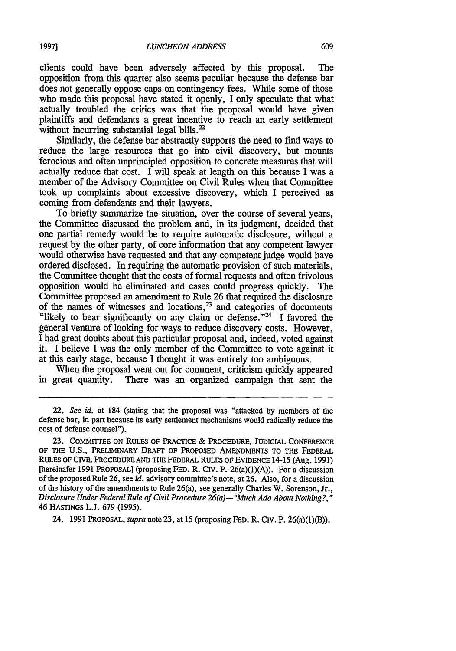clients could have been adversely affected by this proposal. The opposition from this quarter also seems peculiar because the defense bar does not generally oppose caps on contingency fees. While some of those who made this proposal have stated it openly, I only speculate that what actually troubled the critics was that the proposal would have given plaintiffs and defendants a great incentive to reach an early settlement without incurring substantial legal bills.<sup>22</sup>

Similarly, the defense bar abstractly supports the need to find ways to reduce the large resources that go into civil discovery, but mounts ferocious and often unprincipled opposition to concrete measures that will actually reduce that cost. I will speak at length on this because I was a member of the Advisory Committee on Civil Rules when that Committee took up complaints about excessive discovery, which I perceived as coming from defendants and their lawyers.

To briefly summarize the situation, over the course of several years, the Committee discussed the problem and, in its judgment, decided that one partial remedy would be to require automatic disclosure, without a request by the other party, of core information that any competent lawyer would otherwise have requested and that any competent judge would have ordered disclosed. In requiring the automatic provision of such materials, the Committee thought that the costs of formal requests and often frivolous opposition would be eliminated and cases could progress quickly. The Committee proposed an amendment to Rule 26 that required the disclosure of the names of witnesses and locations, $<sup>23</sup>$  and categories of documents</sup> "likely to bear significantly on any claim or defense."<sup>24</sup> I favored the general venture of looking for ways to reduce discovery costs. However, I had great doubts about this particular proposal and, indeed, voted against it. I believe I was the only member of the Committee to vote against it at this early stage, because I thought it was entirely too ambiguous.

When the proposal went out for comment, criticism quickly appeared in great quantity. There was an organized campaign that sent the

24. **1991** PROPOSAL, *supra* note **23,** at 15 (proposing **FED.** R. Civ. P. 26(a)(1)(B)).

<sup>22.</sup> *See id.* at 184 (stating that the proposal was "attacked by members of the defense bar, in part because its early settlement mechanisms would radically reduce the cost of defense counsel").

**<sup>23.</sup>** COMMITTEE **ON** RULES OF PRACTICE & PROCEDURE, JUDICIAL **CONFERENCE** OF THE **U.S.,** PRELIMINARY **DRAFT** OF PROPOSED **AMENDMENTS** TO THE FEDERAL RULES OF CIVIL PROCEDURE **AND** THE FEDERAL RULES OF EVIDENCE 14-15 (Aug. **1991)** [hereinafer **1991** PROPOSAL] (proposing **FED.** R. **CIV.** P. 26(a)(1)(A)). For a discussion of the proposed Rule **26,** see *id.* advisory committee's note, at **26.** Also, for a discussion of the history of the amendments to Rule 26(a), see generally Charles W. Sorenson, Jr., *Disclosure Under Federal Rule of Civil Procedure 26(a)-"Much Ado About Nothing?,"* 46 HASTINGS **L.J. 679 (1995).**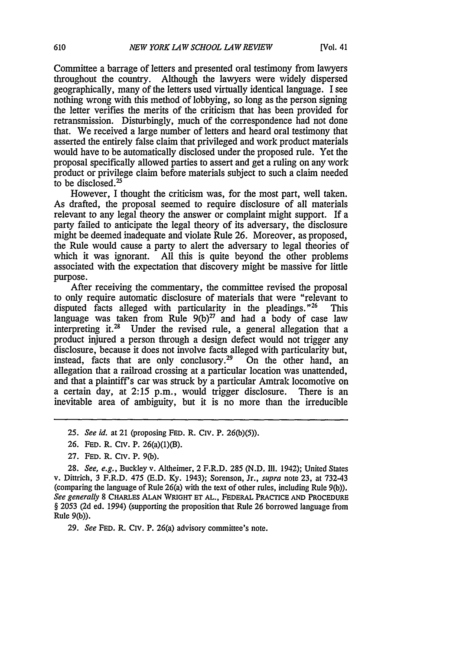Committee a barrage of letters and presented oral testimony from lawyers throughout the country. Although the lawyers were widely dispersed geographically, many of the letters used virtually identical language. I see nothing wrong with this method of lobbying, so long as the person signing the letter verifies the merits of the criticism that has been provided for retransmission. Disturbingly, much of the correspondence had not done that. We received a large number of letters and heard oral testimony that asserted the entirely false claim that privileged and work product materials would have to be automatically disclosed under the proposed rule. Yet the proposal specifically allowed parties to assert and get a ruling on any work product or privilege claim before materials subject to such a claim needed to be disclosed.<sup>25</sup>

However, I thought the criticism was, for the most part, well taken. As drafted, the proposal seemed to require disclosure of all materials relevant to any legal theory the answer or complaint might support. If a party failed to anticipate the legal theory of its adversary, the disclosure might be deemed inadequate and violate Rule 26. Moreover, as proposed, the Rule would cause a party to alert the adversary to legal theories of which it was ignorant. All this is quite beyond the other problems associated with the expectation that discovery might be massive for little purpose.

After receiving the commentary, the committee revised the proposal to only require automatic disclosure of materials that were "relevant to disputed facts alleged with particularity in the pleadings."<sup>26</sup> This language was taken from Rule  $9(b)^{27}$  and had a body of case law interpreting it. $^{28}$  Under the revised rule, a general allegation that a product injured a person through a design defect would not trigger any disclosure, because it does not involve facts alleged with particularity but, instead, facts that are only conclusory.<sup>29</sup> On the other hand, an allegation that a railroad crossing at a particular location was unattended, and that a plaintiff's car was struck by a particular Amtrak locomotive on a certain day, at 2:15 p.m., would trigger disclosure. There is an inevitable area of ambiguity, but it is no more than the irreducible

- *25. See id.* at 21 (proposing **FED.** R. Civ. P. 26(b)(5)).
- 26. FED. R. Civ. P. 26(a)(1)(B).
- 27. FED. R. Civ. P. 9(b).

28. *See, e.g.,* Buckley v. Altheimer, 2 F.R.D. 285 (N.D. Ill. 1942); United States v. Dittrich, 3 F.R.D. 475 (E.D. Ky. 1943); Sorenson, Jr., *supra* note 23, at 732-43 (comparing the language of Rule 26(a) with the text of other rules, including Rule 9(b)). *See generally* 8 CHARLES **ALAN WRIGHT ET AL.,** FEDERAL PRACTICE **AND PROCEDURE** § 2053 (2d ed. 1994) (supporting the proposition that Rule 26 borrowed language from Rule 9(b)).

29. *See* **FED.** R. CIV. P. 26(a) advisory committee's note.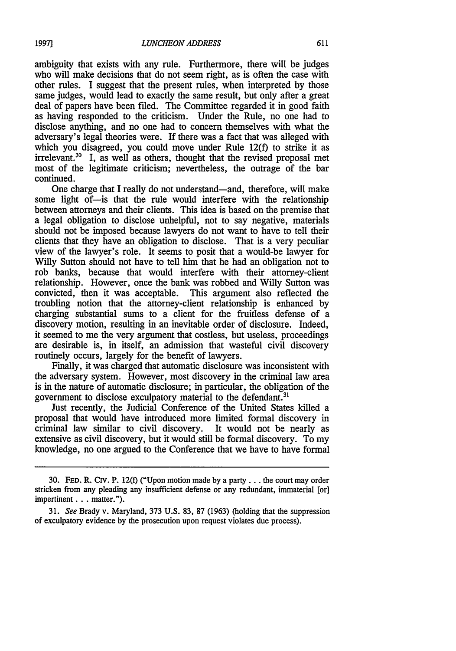ambiguity that exists with any rule. Furthermore, there will be judges who will make decisions that do not seem right, as is often the case with other rules. I suggest that the present rules, when interpreted by those same judges, would lead to exactly the same result, but only after a great deal of papers have been filed. The Committee regarded it in good faith as having responded to the criticism. Under the Rule, no one had to disclose anything, and no one had to concern themselves with what the adversary's legal theories were. If there was a fact that was alleged with which you disagreed, you could move under Rule 12(f) to strike it as irrelevant.<sup>30</sup> I, as well as others, thought that the revised proposal met most of the legitimate criticism; nevertheless, the outrage of the bar continued.

One charge that I really do not understand-and, therefore, will make some light of-is that the rule would interfere with the relationship between attorneys and their clients. This idea is based on the premise that a legal obligation to disclose unhelpful, not to say negative, materials should not be imposed because lawyers do not want to have to tell their clients that they have an obligation to disclose. That is a very peculiar view of the lawyer's role. It seems to posit that a would-be lawyer for Willy Sutton should not have to tell him that he had an obligation not to rob banks, because that would interfere with their attorney-client relationship. However, once the bank was robbed and Willy Sutton was convicted, then it was acceptable. This argument also reflected the troubling notion that the attorney-client relationship is enhanced by charging substantial sums to a client for the fruitless defense of a discovery motion, resulting in an inevitable order of disclosure. Indeed, it seemed to me the very argument that costless, but useless, proceedings are desirable is, in itself, an admission that wasteful civil discovery routinely occurs, largely for the benefit of lawyers.

Finally, it was charged that automatic disclosure was inconsistent with the adversary system. However, most discovery in the criminal law area is in the nature of automatic disclosure; in particular, the obligation of the government to disclose exculpatory material to the defendant.<sup>31</sup>

Just recently, the Judicial Conference of the United States killed a proposal that would have introduced more limited formal discovery in criminal law similar to civil discovery. It would not be nearly as extensive as civil discovery, but it would still be formal discovery. To my knowledge, no one argued to the Conference that we have to have formal

**19971**

**<sup>30.</sup> FED.** R. Civ. P. 12(f) ("Upon motion made by a party... the court may order stricken from any pleading any insufficient defense or any redundant, immaterial [or] impertinent . . . matter.").

<sup>31.</sup> *See* Brady v. Maryland, 373 U.S. 83, 87 (1963) (holding that the suppression of exculpatory evidence by the prosecution upon request violates due process).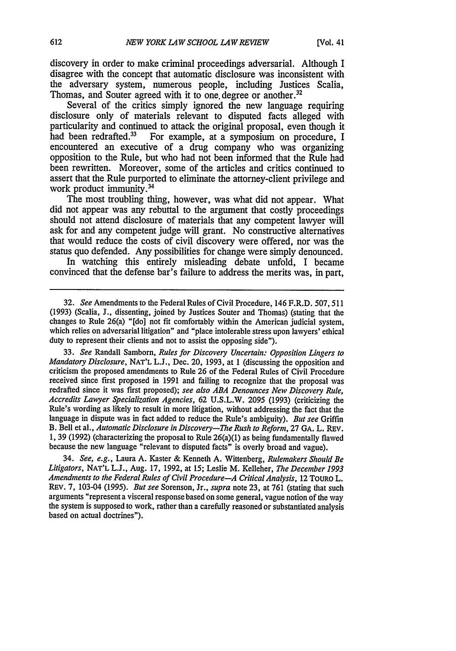discovery in order to make criminal proceedings adversarial. Although I disagree with the concept that automatic disclosure was inconsistent with the adversary system, numerous people, including Justices Scalia, Thomas, and Souter agreed with it to one degree or another.<sup>32</sup>

Several of the critics simply ignored the new language requiring disclosure only of materials relevant to disputed facts alleged with particularity and continued to attack the original proposal, even though it had been redrafted.<sup>33</sup> For example, at a symposium on procedure. I For example, at a symposium on procedure, I encountered an executive of a drug company who was organizing opposition to the Rule, but who had not been informed that the Rule had been rewritten. Moreover, some of the articles and critics continued to assert that the Rule purported to eliminate the attorney-client privilege and work product immunity.<sup>34</sup>

The most troubling thing, however, was what did not appear. What did not appear was any rebuttal to the argument that costly proceedings should not attend disclosure of materials that any competent lawyer will ask for and any competent judge will grant. No constructive alternatives that would reduce the costs of civil discovery were offered, nor was the status quo defended. Any possibilities for change were simply denounced.

In watching this entirely misleading debate unfold, I became convinced that the defense bar's failure to address the merits was, in part,

33. *See* Randall Samborn, *Rules for Discovery Uncertain: Opposition Lingers to Mandatory Disclosure,* NAT'L L.J., Dec. 20, 1993, at 1 (discussing the opposition and criticism the proposed amendments to Rule 26 of the Federal Rules of Civil Procedure received since first proposed in 1991 and failing to recognize that the proposal was redrafted since it was first proposed); *see also ABA Denounces New Discovery Rule, Accredits Lawyer Specialization Agencies,* 62 U.S.L.W. 2095 (1993) (criticizing the Rule's wording as likely to result in more litigation, without addressing the fact that the language in dispute was in fact added to reduce the Rule's ambiguity). *But see* Griffin B. Bell et al., *Automatic Disclosure in Discovery-The Rush to Reform*, 27 GA. L. REV. 1, 39 (1992) (characterizing the proposal to Rule 26(a)(1) as being fundamentally flawed because the new language "relevant to disputed facts" is overly broad and vague).

34. *See, e.g.,* Laura A. Kaster & Kenneth A. Wittenberg, *Rulemakers Should Be Litigators,* NAT'L L.J., Aug. 17, 1992, at 15; Leslie M. Kelleher, *The December 1993 Amendments to the Federal Rules of Civil Procedure-A Critical Analysis,* 12 TouRo L. REv. 7, 103-04 (1995). *But see* Sorenson, Jr., *supra* note 23, at 761 (stating that such arguments "represent a visceral response based on some general, vague notion of the way the system is supposed to work, rather than a carefully reasoned or substantiated analysis based on actual doctrines").

<sup>32.</sup> *See* Amendments to the Federal Rules of Civil Procedure, 146 F.R.D. 507,511 (1993) (Scalia, **J.,** dissenting, joined by Justices Souter and Thomas) (stating that the changes to Rule 26(a) "[do] not fit comfortably within the American judicial system, which relies on adversarial litigation" and "place intolerable stress upon lawyers' ethical duty to represent their clients and not to assist the opposing side").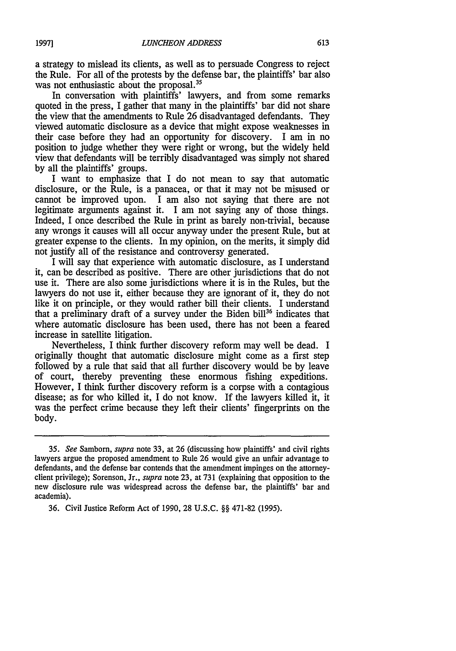a strategy to mislead its clients, as well as to persuade Congress to reject the Rule. For all of the protests by the defense bar, the plaintiffs' bar also was not enthusiastic about the proposal.<sup>35</sup>

In conversation with plaintiffs' lawyers, and from some remarks quoted in the press. I gather that many in the plaintiffs' bar did not share the view that the amendments to Rule 26 disadvantaged defendants. They viewed automatic disclosure as a device that might expose weaknesses in their case before they had an opportunity for discovery. I am in no position to judge whether they were right or wrong, but the widely held view that defendants will be terribly disadvantaged was simply not shared by all the plaintiffs' groups.

I want to emphasize that I do not mean to say that automatic disclosure, or the Rule, is a panacea, or that it may not be misused or cannot be improved upon. I am also not saying that there are not legitimate arguments against it. I am not saying any of those things. Indeed, I once described the Rule in print as barely non-trivial, because any wrongs it causes will all occur anyway under the present Rule, but at greater expense to the clients. In my opinion, on the merits, it simply did not justify all of the resistance and controversy generated.

I will say that experience with automatic disclosure, as I understand it, can be described as positive. There are other jurisdictions that do not use it. There are also some jurisdictions where it is in the Rules, but the lawyers do not use it, either because they are ignorant of it, they do not like it on principle, or they would rather bill their clients. I understand that a preliminary draft of a survey under the Biden bill<sup>36</sup> indicates that where automatic disclosure has been used, there has not been a feared increase in satellite litigation.

Nevertheless, I think further discovery reform may well be dead. I originally thought that automatic disclosure might come as a first step followed by a rule that said that all further discovery would be by leave of court, thereby preventing these enormous fishing expeditions. However, I think further discovery reform is a corpse with a contagious disease; as for who killed it, I do not know. If the lawyers killed it, it was the perfect crime because they left their clients' fingerprints on the body.

*<sup>35.</sup> See* Samborn, *supra* note 33, at 26 (discussing how plaintiffs' and civil rights lawyers argue the proposed amendment to Rule 26 would give an unfair advantage to defendants, and the defense bar contends that the amendment impinges on the attorneyclient privilege); Sorenson, Jr., *supra* note 23, at 731 (explaining that opposition to the new disclosure rule was widespread across the defense bar, the plaintiffs' bar and academia).

<sup>36.</sup> Civil Justice Reform Act of 1990, 28 U.S.C. §§ 471-82 (1995).